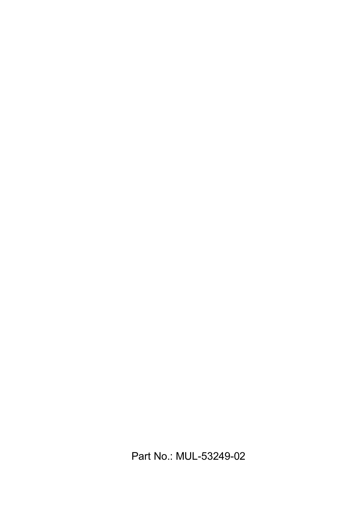Part No.: MUL-53249-02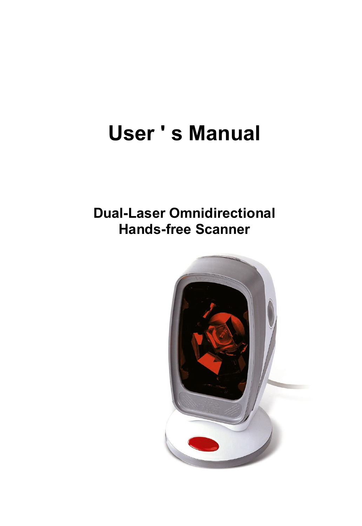# **User ' s Manual**

### **Dual-Laser Omnidirectional Hands-free Scanner**

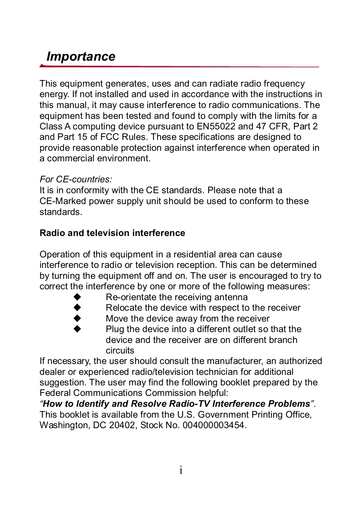### *Importance*

This equipment generates, uses and can radiate radio frequency energy. If not installed and used in accordance with the instructions in this manual, it may cause interference to radio communications. The equipment has been tested and found to comply with the limits for a Class A computing device pursuant to EN55022 and 47 CFR, Part 2 and Part 15 of FCC Rules. These specifications are designed to provide reasonable protection against interference when operated in a commercial environment.

#### *For CEcountries:*

It is in conformity with the CE standards. Please note that a CE-Marked power supply unit should be used to conform to these standards.

#### **Radio and television interference**

Operation of this equipment in a residential area can cause interference to radio or television reception. This can be determined by turning the equipment off and on. The user is encouraged to try to correct the interference by one or more of the following measures:

- Re-orientate the receiving antenna
- Relocate the device with respect to the receiver
	- Move the device away from the receiver

Plug the device into a different outlet so that the device and the receiver are on different branch circuits

If necessary, the user should consult the manufacturer, an authorized dealer or experienced radio/television technician for additional suggestion. The user may find the following booklet prepared by the Federal Communications Commission helpful:

*"How to ldentify and Resolve RadioTV Interference Problems"*. This booklet is available from the U.S. Government Printing Office, Washington, DC 20402, Stock No. 004000003454.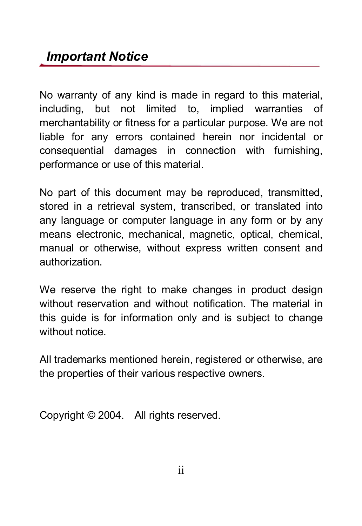No warranty of any kind is made in regard to this material. including, but not limited to, implied warranties of merchantability or fitness for a particular purpose. We are not liable for any errors contained herein nor incidental or consequential damages in connection with furnishing, performance or use of this material.

No part of this document may be reproduced, transmitted, stored in a retrieval system, transcribed, or translated into any language or computer language in any form or by any means electronic, mechanical, magnetic, optical, chemical, manual or otherwise, without express written consent and authorization.

We reserve the right to make changes in product design without reservation and without notification. The material in this quide is for information only and is subject to change without notice.

All trademarks mentioned herein, registered or otherwise, are the properties of their various respective owners.

Copyright © 2004. All rights reserved.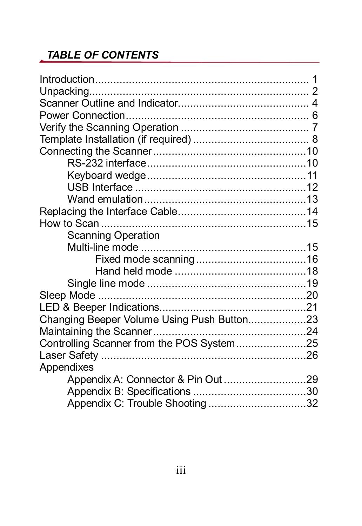#### *TABLE OF CONTENTS*

| Scanning Operation                         |  |
|--------------------------------------------|--|
|                                            |  |
|                                            |  |
|                                            |  |
|                                            |  |
|                                            |  |
|                                            |  |
| Changing Beeper Volume Using Push Button23 |  |
|                                            |  |
| Controlling Scanner from the POS System25  |  |
|                                            |  |
| Appendixes                                 |  |
| Appendix A: Connector & Pin Out 29         |  |
|                                            |  |
|                                            |  |
| Appendix C: Trouble Shooting 32            |  |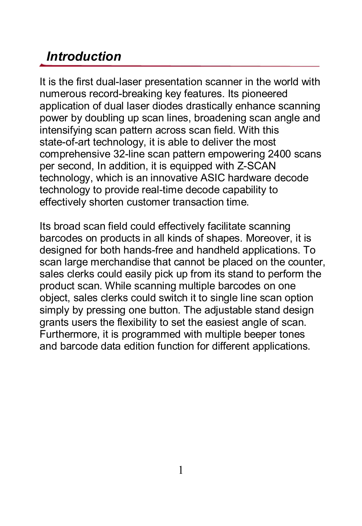### *Introduction*

It is the first dual-laser presentation scanner in the world with numerous record-breaking key features. Its pioneered application of dual laser diodes drastically enhance scanning power by doubling up scan lines, broadening scan angle and intensifying scan pattern across scan field. With this state-of-art technology, it is able to deliver the most comprehensive 32line scan pattern empowering 2400 scans per second, In addition, it is equipped with Z-SCAN technology, which is an innovative ASIC hardware decode technology to provide real-time decode capability to effectively shorten customer transaction time.

Its broad scan field could effectively facilitate scanning barcodes on products in all kinds of shapes. Moreover, it is designed for both hands-free and handheld applications. To scan large merchandise that cannot be placed on the counter, sales clerks could easily pick up from its stand to perform the product scan. While scanning multiple barcodes on one object, sales clerks could switch it to single line scan option simply by pressing one button. The adjustable stand design grants users the flexibility to set the easiest angle of scan. Furthermore, it is programmed with multiple beeper tones and barcode data edition function for different applications.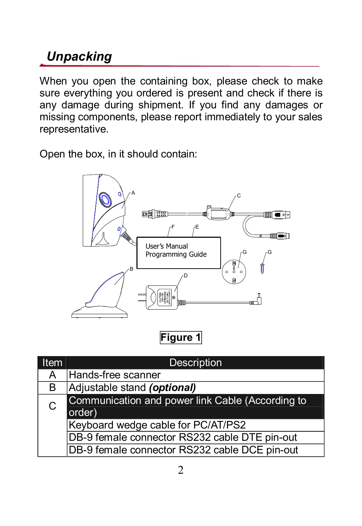### *Unpacking*

When you open the containing box, please check to make sure everything you ordered is present and check if there is any damage during shipment. If you find any damages or missing components, please report immediately to your sales representative.

Open the box, in it should contain:



**Figure 1**

| Item | <b>Description</b>                                         |  |
|------|------------------------------------------------------------|--|
| A    | Hands-free scanner                                         |  |
| В    | Adjustable stand (optional)                                |  |
| C    | Communication and power link Cable (According to<br>order) |  |
|      | Keyboard wedge cable for PC/AT/PS2                         |  |
|      | DB-9 female connector RS232 cable DTE pin-out              |  |
|      | DB-9 female connector RS232 cable DCE pin-out              |  |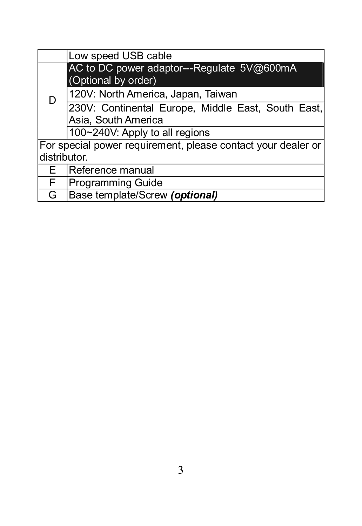|    | Low speed USB cable                                          |  |  |
|----|--------------------------------------------------------------|--|--|
|    | AC to DC power adaptor---Regulate 5V@600mA                   |  |  |
|    | (Optional by order)                                          |  |  |
| D  | 120V: North America, Japan, Taiwan                           |  |  |
|    | 230V: Continental Europe, Middle East, South East,           |  |  |
|    | Asia, South America                                          |  |  |
|    | 100~240V: Apply to all regions                               |  |  |
|    | For special power requirement, please contact your dealer or |  |  |
|    | ldistributor.                                                |  |  |
| F. | Reference manual                                             |  |  |
| F. | <b>Programming Guide</b>                                     |  |  |
| G  | Base template/Screw (optional)                               |  |  |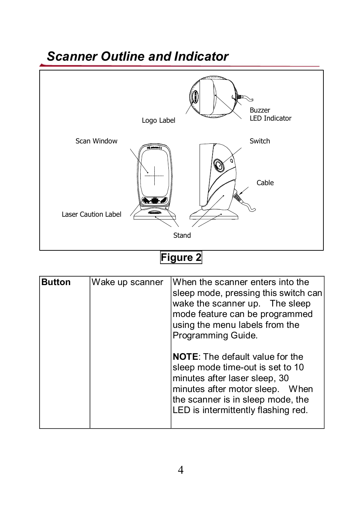### *Scanner Outline and Indicator*



### **Figure 2**

| <b>Button</b> | Wake up scanner | IWhen the scanner enters into the<br>sleep mode, pressing this switch can<br>wake the scanner up. The sleep<br>mode feature can be programmed<br>using the menu labels from the<br>Programming Guide.                      |
|---------------|-----------------|----------------------------------------------------------------------------------------------------------------------------------------------------------------------------------------------------------------------------|
|               |                 | <b>NOTE:</b> The default value for the<br>sleep mode time-out is set to 10<br>minutes after laser sleep, 30<br>minutes after motor sleep. When<br>the scanner is in sleep mode, the<br>LED is intermittently flashing red. |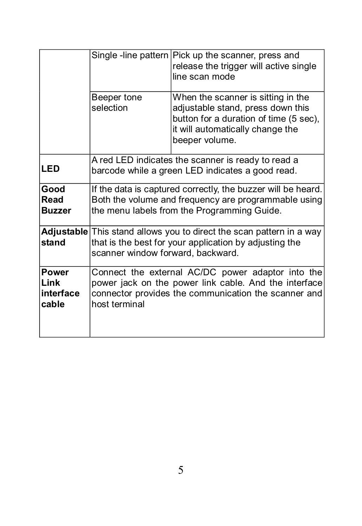|                                             | Single-line pattern Pick up the scanner, press and<br>release the trigger will active single<br>line scan mode                                                                      |                                                                                                                                                                         |  |
|---------------------------------------------|-------------------------------------------------------------------------------------------------------------------------------------------------------------------------------------|-------------------------------------------------------------------------------------------------------------------------------------------------------------------------|--|
|                                             | Beeper tone<br>selection                                                                                                                                                            | When the scanner is sitting in the<br>adjustable stand, press down this<br>button for a duration of time (5 sec).<br>it will automatically change the<br>beeper volume. |  |
| <b>LED</b>                                  | A red LED indicates the scanner is ready to read a<br>barcode while a green LED indicates a good read.                                                                              |                                                                                                                                                                         |  |
| Good<br>Read<br><b>Buzzer</b>               | If the data is captured correctly, the buzzer will be heard.<br>Both the volume and frequency are programmable using<br>the menu labels from the Programming Guide.                 |                                                                                                                                                                         |  |
| stand                                       | Adjustable This stand allows you to direct the scan pattern in a way<br>that is the best for your application by adjusting the<br>scanner window forward, backward.                 |                                                                                                                                                                         |  |
| <b>Power</b><br>Link<br>linterface<br>cable | Connect the external AC/DC power adaptor into the<br>power jack on the power link cable. And the interface<br>connector provides the communication the scanner and<br>host terminal |                                                                                                                                                                         |  |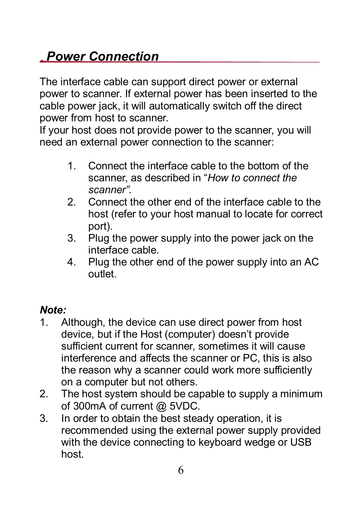### *Power Connection*

The interface cable can support direct power or external power to scanner. If external power has been inserted to the cable power jack, it will automatically switch off the direct power from host to scanner.

If your host does not provide power to the scanner, you will need an external power connection to the scanner:

- 1. Connect the interface cable to the bottom of the scanner, as described in "*How to connect the scanner".*
- 2. Connect the other end of the interface cable to the host (refer to your host manual to locate for correct port).
- 3. Plug the power supply into the power jack on the interface cable.
- 4. Plug the other end of the power supply into an AC outlet.

#### *Note:*

- 1. Although, the device can use direct power from host device, but if the Host (computer) doesn't provide sufficient current for scanner, sometimes it will cause interference and affects the scanner or PC, this is also the reason why a scanner could work more sufficiently on a computer but not others.
- 2. The host system should be capable to supply a minimum of 300mA of current @ 5VDC.
- 3. In order to obtain the best steady operation, it is recommended using the external power supply provided with the device connecting to keyboard wedge or USB host.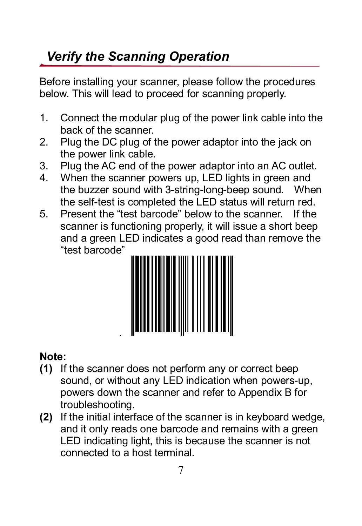### *Verify the Scanning Operation*

Before installing your scanner, please follow the procedures below. This will lead to proceed for scanning properly.

- 1. Connect the modular plug of the power link cable into the back of the scanner.
- 2. Plug the DC plug of the power adaptor into the jack on the power link cable.
- 3. Plug the AC end of the power adaptor into an AC outlet.
- 4. When the scanner powers up, LED lights in green and the buzzer sound with 3-string-long-beep sound. When the self-test is completed the LED status will return red.
- 5. Present the "test barcode" below to the scanner. If the scanner is functioning properly, it will issue a short beep and a green LED indicates a good read than remove the "test barcode"



#### **Note:**

- **(1)** If the scanner does not perform any or correct beep sound, or without any LED indication when powers-up, powers down the scanner and refer to Appendix B for troubleshooting.
- **(2)** If the initial interface of the scanner is in keyboard wedge, and it only reads one barcode and remains with a green LED indicating light, this is because the scanner is not connected to a host terminal.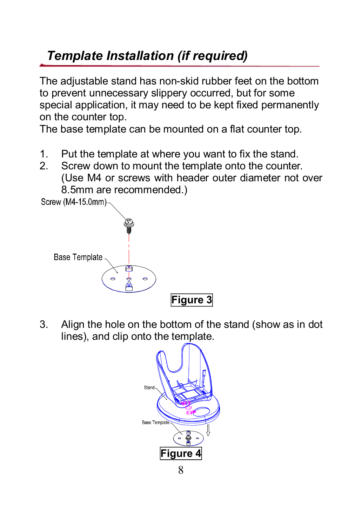### *Template Installation (if required)*

The adjustable stand has non-skid rubber feet on the bottom to prevent unnecessary slippery occurred, but for some special application, it may need to be kept fixed permanently on the counter top.

The base template can be mounted on a flat counter top.

- 1. Put the template at where you want to fix the stand.<br>2. Screw down to mount the template onto the counter
- Screw down to mount the template onto the counter. (Use M4 or screws with header outer diameter not over 8.5mm are recommended.)<br>Screw (M4-15.0mm)



3. Align the hole on the bottom of the stand (show as in dot lines), and clip onto the template.

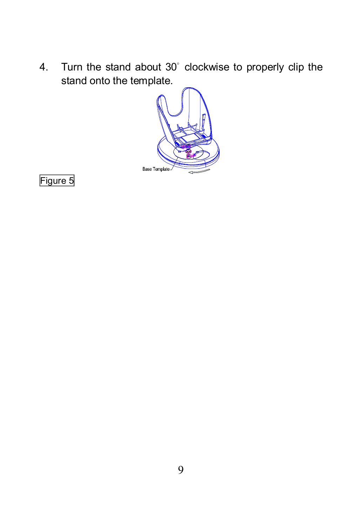4. Turn the stand about 30˚ clockwise to properly clip the stand onto the template.



Figure 5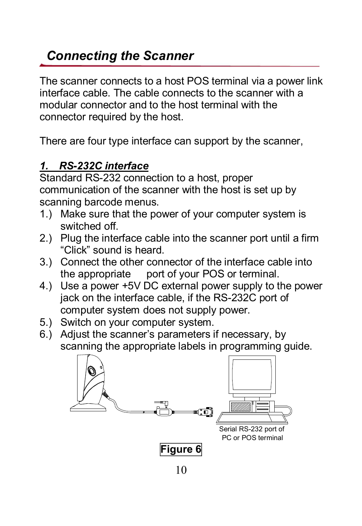### *Connecting the Scanner*

The scanner connects to a host POS terminal via a power link interface cable. The cable connects to the scanner with a modular connector and to the host terminal with the connector required by the host.

There are four type interface can support by the scanner,

#### *1. RS232C interface*

Standard RS-232 connection to a host, proper communication of the scanner with the host is set up by scanning barcode menus.

- 1.) Make sure that the power of your computer system is switched off.
- 2.) Plug the interface cable into the scanner port until a firm "Click" sound is heard.
- 3.) Connect the other connector of the interface cable into the appropriate port of your POS or terminal.
- 4.) Use a power +5V DC external power supply to the power jack on the interface cable, if the RS-232C port of computer system does not supply power.
- 5.) Switch on your computer system.
- 6.) Adjust the scanner's parameters ifnecessary, by scanning the appropriate labels in programming guide.

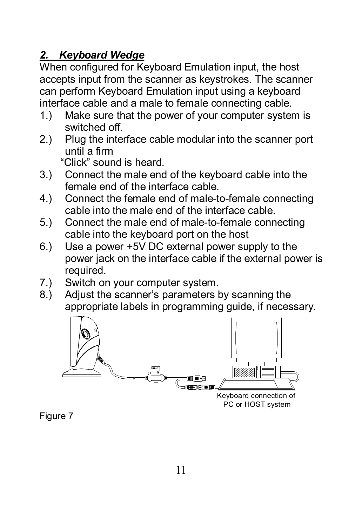#### *2. Keyboard Wedge*

When configured for Keyboard Emulation input, the host accepts input from the scanner as keystrokes. The scanner can perform Keyboard Emulation input using a keyboard interface cable and a male to female connecting cable.

- 1.) Make sure that the power of your computer system is switched off.
- 2.) Plug the interface cable modular into the scanner port until a firm

"Click" sound is heard.

- 3.) Connect the male end of the keyboard cable into the female end of the interface cable.
- 4.) Connect the female end of male-to-female connecting cable into the male end of the interface cable.
- 5.) Connect the male end of male-to-female connecting cable into the keyboard port on the host
- 6.) Use a power +5V DC external power supply to the power jack on the interface cable if the external power is required.
- 7.) Switch on your computer system.<br>8.) Adjust the scanner's parameters b
- Adjust the scanner's parameters by scanning the appropriate labels in programming guide, if necessary.



Figure 7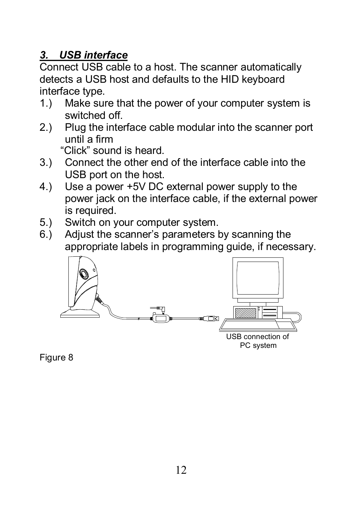#### *3. USB interface*

Connect USB cable to a host. The scanner automatically detects a USB host and defaults to the HID keyboard interface type.

- 1.) Make sure that the power of your computer system is switched off.
- 2.) Plug the interface cable modular into the scanner port until a firm

"Click" sound is heard.

- 3.) Connect the other end of the interface cable into the USB port on the host.
- 4.) Use a power +5V DC external power supply to the power jack on the interface cable, if the external power is required.
- 5.) Switch on your computer system.
- 6.) Adjust the scanner's parameters by scanning the appropriate labels in programming guide, if necessary.



Figure 8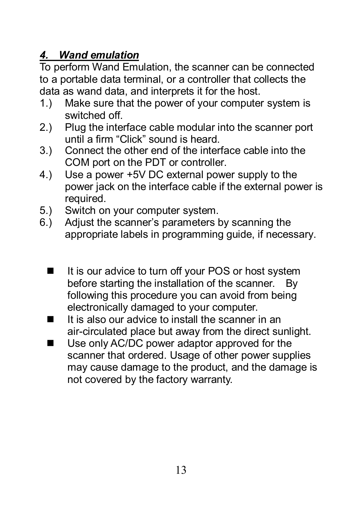#### *4. Wand emulation*

To perform Wand Emulation, the scanner can be connected to a portable data terminal, or a controller that collects the data as wand data, and interprets it for the host.<br>1.) Make sure that the power of your computer

- Make sure that the power of your computer system is switched off.
- 2.) Plug the interface cable modular into the scanner port until a firm "Click" sound is heard.
- 3.) Connect the other end of the interface cable into the COM port on the PDT or controller.
- 4.) Use a power +5V DC external power supply to the power jack on the interface cable if the external power is required.
- 5.) Switch on your computer system.
- 6.) Adjust the scanner's parameters by scanning the appropriate labels in programming guide, if necessary.
	- $\blacksquare$  It is our advice to turn off your POS or host system before starting the installation of the scanner. By following this procedure you can avoid from being electronically damaged to your computer.
	- $\blacksquare$  It is also our advice to install the scanner in an air-circulated place but away from the direct sunlight.
	- Use only AC/DC power adaptor approved for the scanner that ordered. Usage of other power supplies may cause damage to the product, and the damage is not covered by the factory warranty.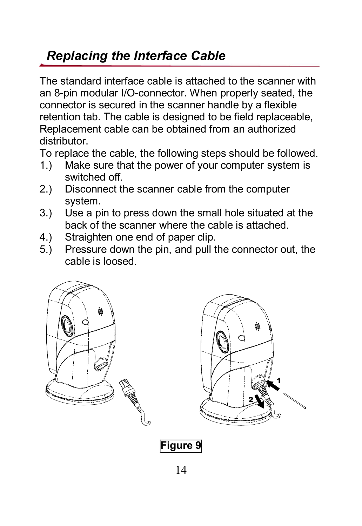### *Replacing the Interface Cable*

The standard interface cable is attached to the scanner with an 8-pin modular I/O-connector. When properly seated, the connector is secured in the scanner handle by a flexible retention tab. The cable is designed to be field replaceable, Replacement cable can be obtained from an authorized distributor.

To replace the cable, the following steps should be followed.

- 1.) Make sure that the power of your computer system is switched off.
- 2.) Disconnect the scanner cable from the computer system.
- 3.) Use a pin to press down the small hole situated at the back of the scanner where the cable is attached.
- 4.) Straighten one end of paper clip.
- 5.) Pressure down the pin, and pull the connector out, the cable is loosed.





**Figure 9**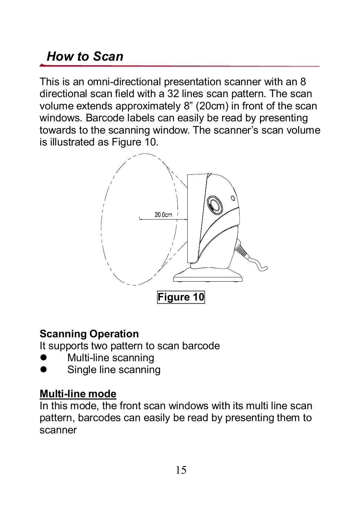### *How to Scan*

This is an omni-directional presentation scanner with an 8 directional scan field with a 32 lines scan pattern. The scan volume extends approximately 8" (20cm) in front of the scan windows. Barcode labels can easily be read by presenting towards to the scanning window. The scanner's scan volume is illustrated as Figure 10.



#### **Scanning Operation**

It supports two pattern to scan barcode

- Multi-line scanning
- Single line scanning

#### **Multi-line** mode

In this mode, the front scan windows with its multi line scan pattern, barcodes can easily be read by presenting them to scanner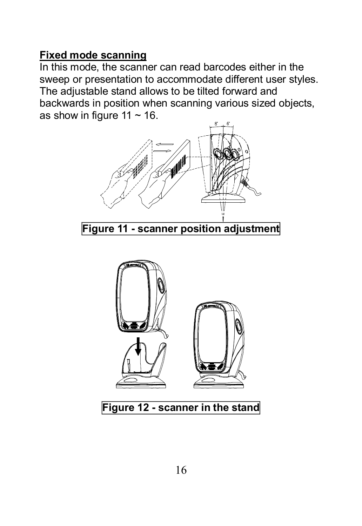#### **Fixed mode scanning**

In this mode, the scanner can read barcodes either in the sweep or presentation to accommodate different user styles. The adjustable stand allows to be tilted forward and backwards in position when scanning various sized objects, as show in figure 11  $\sim$  16.



**Figure 12 scanner in the stand**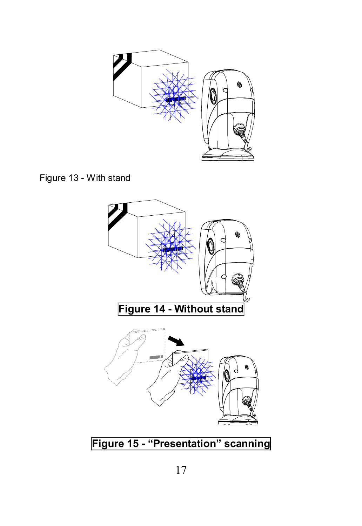

Figure 13 - With stand

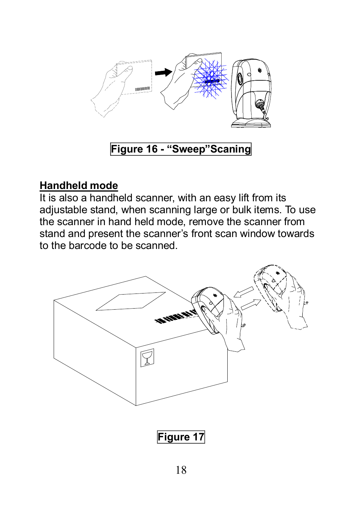

#### **Figure 16 "Sweep"Scaning**

#### **Handheld mode**

It is also a handheld scanner, with an easy lift from its adjustable stand, when scanning large or bulk items. To use the scanner in hand held mode, remove the scanner from stand and present the scanner's front scan window towards to the barcode to be scanned.

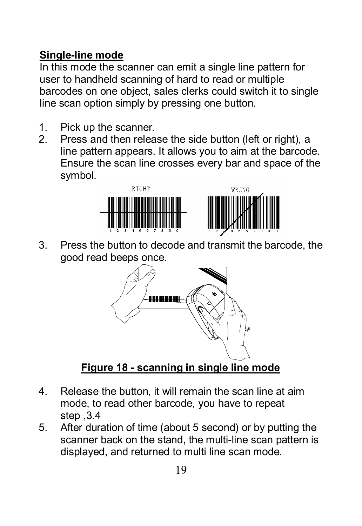#### **Single-line mode**

In this mode the scanner can emit a single line pattern for user to handheld scanning of hard to read or multiple barcodes on one object, sales clerks could switch it to single line scan option simply by pressing one button.

- 1. Pick up the scanner.<br>2. Press and then relea
- Press and then release the side button (left or right), a line pattern appears. It allows you to aim at the barcode. Ensure the scan line crosses every bar and space of the symbol.



3. Press the button to decode and transmit the barcode, the good read beeps once.



**Figure 18 scanning in single line mode**

- 4. Release the button, it will remain the scan line at aim mode, to read other barcode, you have to repeat step ,3.4
- 5. After duration of time (about 5 second) or by putting the scanner back on the stand, the multi-line scan pattern is displayed, and returned to multi line scan mode.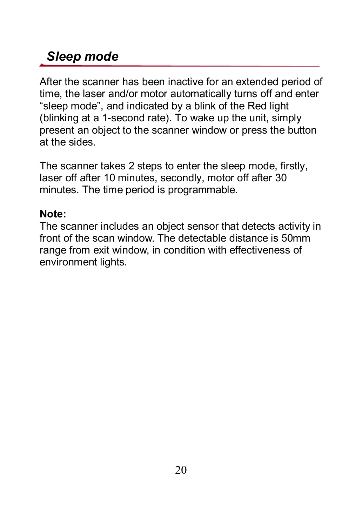### *Sleep mode*

After the scanner has been inactive for an extended period of time, the laser and/or motor automatically turns off and enter "sleep mode", and indicated by a blink of the Red light (blinking at a 1second rate). To wake up the unit, simply present an object to the scanner window or press the button at the sides.

The scanner takes 2 steps to enter the sleep mode, firstly, laser off after 10 minutes, secondly, motor off after 30 minutes. The time period is programmable.

#### **Note:**

The scanner includes an object sensor that detects activity in front of the scan window. The detectable distance is 50mm range from exit window, in condition with effectiveness of environment lights.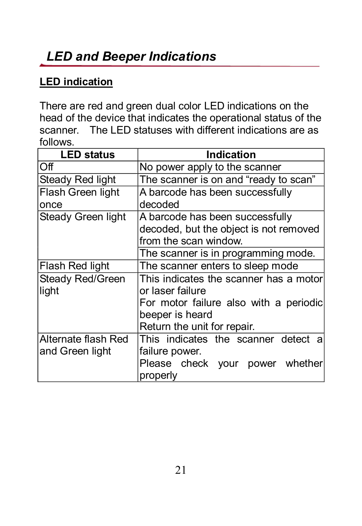### *LED and Beeper Indications*

#### **LED indication**

There are red and green dual color LED indications on the head of the device that indicates the operational status of the scanner. The LED statuses with different indications are as follows.

| <b>LED status</b>   | Indication                             |  |
|---------------------|----------------------------------------|--|
| Off                 | No power apply to the scanner          |  |
| Steady Red light    | The scanner is on and "ready to scan"  |  |
| Flash Green light   | A barcode has been successfully        |  |
| once                | decoded                                |  |
| Steady Green light  | A barcode has been successfully        |  |
|                     | decoded, but the object is not removed |  |
|                     | from the scan window.                  |  |
|                     | The scanner is in programming mode.    |  |
| Flash Red light     | The scanner enters to sleep mode       |  |
| Steady Red/Green    | This indicates the scanner has a motor |  |
| light               | or laser failure                       |  |
|                     | For motor failure also with a periodic |  |
|                     | beeper is heard                        |  |
|                     | Return the unit for repair.            |  |
| Alternate flash Red | This indicates the scanner detect a    |  |
| and Green light     | failure power.                         |  |
|                     | Please check your power whether        |  |
|                     | properly                               |  |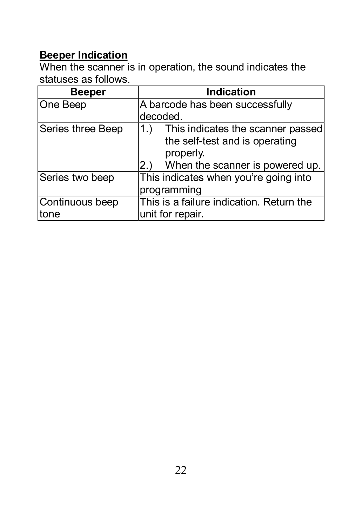#### **Beeper Indication**

When the scanner is in operation, the sound indicates the statuses as follows.

| Beeper                   | <b>Indication</b>                                                                                                               |  |
|--------------------------|---------------------------------------------------------------------------------------------------------------------------------|--|
| One Beep                 | A barcode has been successfully                                                                                                 |  |
|                          | decoded.                                                                                                                        |  |
| Series three Beep        | This indicates the scanner passed<br>1.<br>the self-test and is operating<br>properly.<br>When the scanner is powered up.<br>2. |  |
| Series two beep          | This indicates when you're going into<br>programming                                                                            |  |
| Continuous beep<br>ltone | This is a failure indication. Return the<br>unit for repair.                                                                    |  |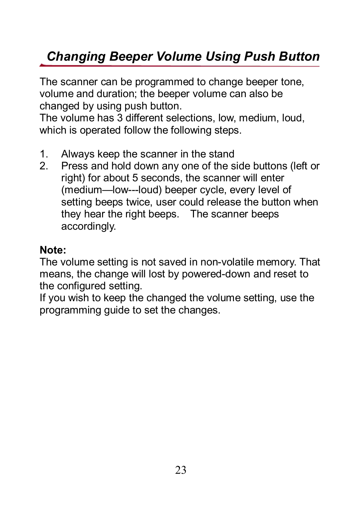### *Changing Beeper Volume Using Push Button*

The scanner can be programmed to change beeper tone, volume and duration; the beeper volume can also be changed by using push button.

The volume has 3 different selections, low, medium, loud, which is operated follow the following steps.

- 1. Always keep the scanner in the stand<br>2. Press and hold down any one of the s
- Press and hold down any one of the side buttons (left or right) for about 5 seconds, the scanner will enter (medium-low---loud) beeper cycle, every level of setting beeps twice, user could release the button when they hear the right beeps. The scanner beeps accordingly.

#### **Note:**

The volume setting is not saved in non-volatile memory. That means, the change will lost by powered-down and reset to the configured setting.

If you wish to keep the changed the volume setting, use the programming guide to set the changes.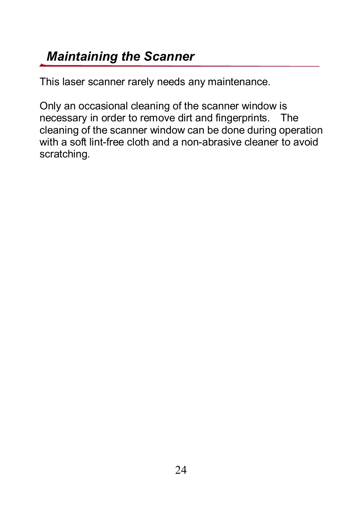### *Maintaining the Scanner*

This laser scanner rarely needs any maintenance.

Only an occasional cleaning of the scanner window is necessary in order to remove dirt and fingerprints. The cleaning of the scanner window can be done during operation with a soft lint-free cloth and a non-abrasive cleaner to avoid scratching.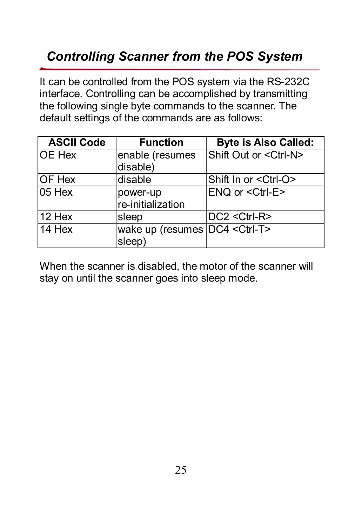### *Controlling Scanner from the POS System*

It can be controlled from the POS system via the RS-232C interface. Controlling can be accomplished by transmitting the following single byte commands to the scanner. The default settings of the commands are as follows:

| <b>ASCII Code</b> | <b>Function</b>                          | <b>Byte is Also Called:</b>   |
|-------------------|------------------------------------------|-------------------------------|
| <b>OE Hex</b>     | enable (resumes<br>disable)              | Shift Out or < Ctrl-N>        |
| IOF Hex           | disable                                  | Shift In or <ctrl-o></ctrl-o> |
| 05 Hex            | power-up<br>re-initialization            | ENQ or <ctrl-e></ctrl-e>      |
| 12 Hex            | sleep                                    | $DC2 < C$ trl-R>              |
| 14 Hex            | wake up (resumes DC4 < Ctrl-T><br>sleep) |                               |

When the scanner is disabled, the motor of the scanner will stay on until the scanner goes into sleep mode.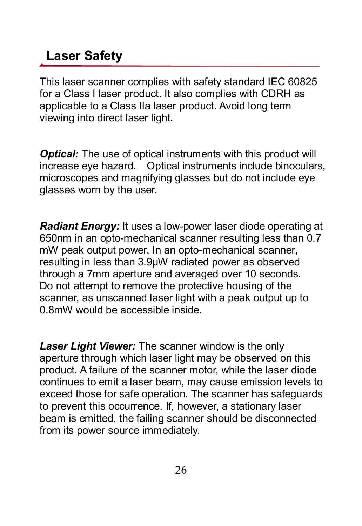### **Laser Safety**

This laser scanner complies with safety standard IEC 60825 for a Class I laser product. It also complies with CDRH as applicable to a Class IIa laser product. Avoid long term viewing into direct laser light.

**Optical:** The use of optical instruments with this product will increase eye hazard. Optical instruments include binoculars, microscopes and magnifying glasses but do not include eye glasses worn by the user.

**Radiant Energy:** It uses a low-power laser diode operating at 650nm in an opto-mechanical scanner resulting less than 0.7 mW peak output power. In an opto-mechanical scanner, resulting in less than 3.9µW radiated power as observed through a 7mm aperture and averaged over 10 seconds. Do not attempt to remove the protective housing of the scanner, as unscanned laser light with a peak output up to 0.8mW would be accessible inside.

*Laser Light Viewer:* The scanner window is the only aperture through which laser light may be observed on this product. A failure of the scanner motor, while the laser diode continues to emit a laser beam, may cause emission levels to exceed those for safe operation. The scanner has safeguards to prevent this occurrence. If, however, a stationary laser beam is emitted, the failing scanner should be disconnected from its power source immediately.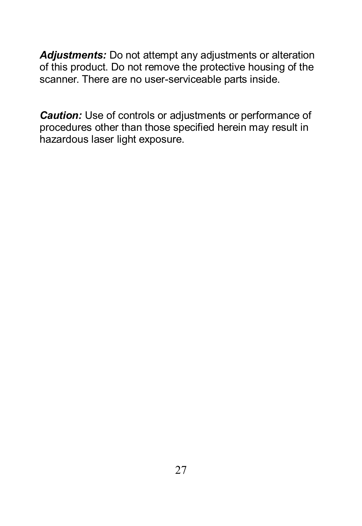*Adjustments:* Do not attempt any adjustments or alteration of this product. Do not remove the protective housing of the scanner. There are no user-serviceable parts inside.

*Caution:* Use of controls or adjustments or performance of procedures other than those specified herein may result in hazardous laser light exposure.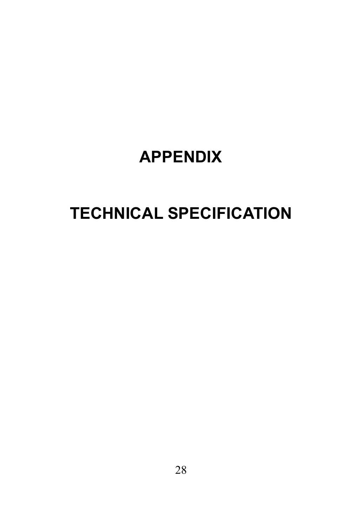# **APPENDIX**

# **TECHNICAL SPECIFICATION**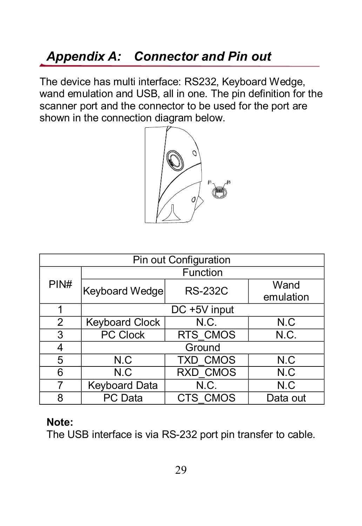### *Appendix A: Connector and Pin out*

The device has multi interface: RS232, Keyboard Wedge, wand emulation and USB, all in one. The pin definition for the scanner port and the connector to be used for the port are shown in the connection diagram below.



| Pin out Configuration |                            |                |                   |
|-----------------------|----------------------------|----------------|-------------------|
| PIN#                  | Function                   |                |                   |
|                       | Keyboard Wedge             | <b>RS-232C</b> | Wand<br>emulation |
|                       | $\overline{DC + 5V}$ input |                |                   |
| 2                     | <b>Keyboard Clock</b>      | N.C.           | N.C               |
| 3                     | PC Clock                   | RTS CMOS       | N.C.              |
| 4                     | Ground                     |                |                   |
| 5                     | N.C                        | TXD CMOS       | N.C               |
| 6                     | N.C                        | RXD CMOS       | N.C               |
| 7                     | Keyboard Data              | N.C.           | N.C               |
| 8                     | PC Data                    | CTS CMOS       | Data out          |

#### **Note:**

The USB interface is via RS-232 port pin transfer to cable.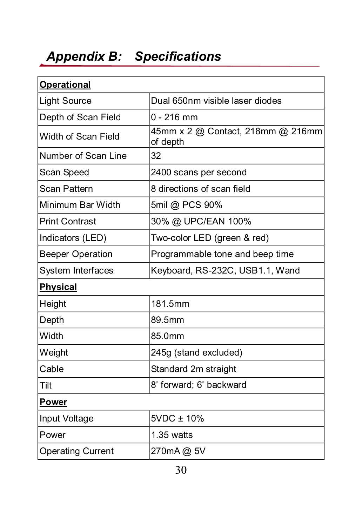# *Appendix B: Specifications*

| <b>Operational</b>       |                                               |
|--------------------------|-----------------------------------------------|
| <b>Light Source</b>      | Dual 650nm visible laser diodes               |
| Depth of Scan Field      | $0 - 216$ mm                                  |
| Width of Scan Field      | 45mm x 2 @ Contact, 218mm @ 216mm<br>of depth |
| Number of Scan Line      | 32                                            |
| Scan Speed               | 2400 scans per second                         |
| Scan Pattern             | 8 directions of scan field                    |
| Minimum Bar Width        | 5mil @ PCS 90%                                |
| <b>Print Contrast</b>    | 30% @ UPC/EAN 100%                            |
| Indicators (LED)         | Two-color LED (green & red)                   |
| <b>Beeper Operation</b>  | Programmable tone and beep time               |
| System Interfaces        | Keyboard, RS-232C, USB1.1, Wand               |
| <b>Physical</b>          |                                               |
| Height                   | 181.5mm                                       |
| Depth                    | 89.5mm                                        |
| Width                    | 85.0mm                                        |
| Weight                   | 245g (stand excluded)                         |
| Cable                    | Standard 2m straight                          |
| Tilt                     | 8° forward; 6° backward                       |
| Power                    |                                               |
| Input Voltage            | 5VDC ± 10%                                    |
| Power                    | $1.35$ watts                                  |
| <b>Operating Current</b> | 270mA@ 5V                                     |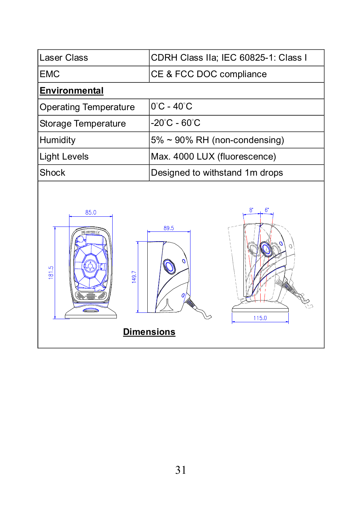| Laser Class                | CDRH Class IIa; IEC 60825-1: Class I          |  |
|----------------------------|-----------------------------------------------|--|
| <b>EMC</b>                 | CE & FCC DOC compliance                       |  |
| <b>Environmental</b>       |                                               |  |
| Operating Temperature      | $0^{\circ}$ C - 40 $^{\circ}$ C               |  |
| Storage Temperature        | -20°C - 60°C                                  |  |
| Humidity                   | 5% ~ 90% RH (non-condensing)                  |  |
| <b>Light Levels</b>        | Max. 4000 LUX (fluorescence)                  |  |
| Shock                      | Designed to withstand 1m drops                |  |
| 85.0<br>3<br>81.5<br>149.7 | 8.<br>6<br>89.5<br>115.0<br><b>Dimensions</b> |  |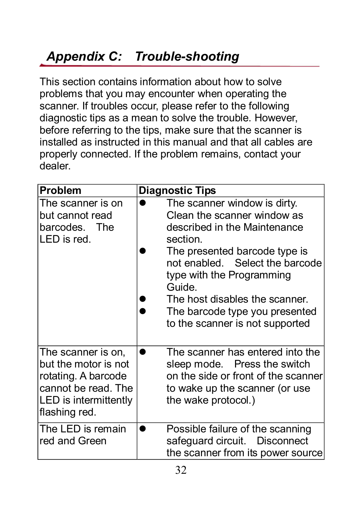### **Appendix C: Trouble-shooting**

This section contains information about how to solve problems that you may encounter when operating the scanner. If troubles occur, please refer to the following diagnostic tips as a mean to solve the trouble. However, before referring to the tips, make sure that the scanner is installed as instructed in this manual and that all cables are properly connected. If the problem remains, contact your dealer.

| <b>Problem</b>                                                                                                                     | <b>Diagnostic Tips</b>                                                                                                                                                                                                                                                                                                    |
|------------------------------------------------------------------------------------------------------------------------------------|---------------------------------------------------------------------------------------------------------------------------------------------------------------------------------------------------------------------------------------------------------------------------------------------------------------------------|
| The scanner is on<br>but cannot read<br>barcodes. The<br>LED is red.                                                               | The scanner window is dirty.<br>Clean the scanner window as<br>described in the Maintenance<br>section.<br>The presented barcode type is<br>not enabled. Select the barcode<br>type with the Programming<br>Guide.<br>The host disables the scanner.<br>The barcode type you presented<br>to the scanner is not supported |
| The scanner is on,<br>but the motor is not<br>rotating. A barcode<br>cannot be read. The<br>LED is intermittently<br>flashing red. | The scanner has entered into the<br>sleep mode. Press the switch<br>on the side or front of the scanner<br>to wake up the scanner (or use<br>the wake protocol.)                                                                                                                                                          |
| The LED is remain<br>red and Green                                                                                                 | Possible failure of the scanning<br>safeguard circuit. Disconnect<br>the scanner from its power source                                                                                                                                                                                                                    |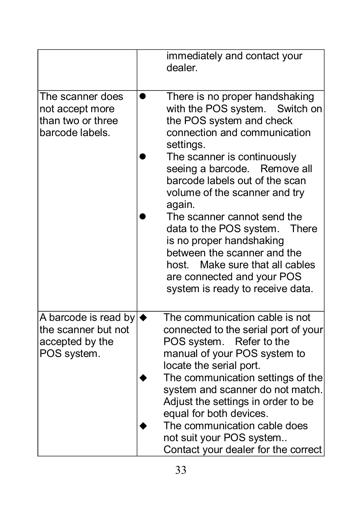|                                                                                               | immediately and contact your<br>dealer.                                                                                                                                                                                                                                                                                                                                                                                                                                                                                        |
|-----------------------------------------------------------------------------------------------|--------------------------------------------------------------------------------------------------------------------------------------------------------------------------------------------------------------------------------------------------------------------------------------------------------------------------------------------------------------------------------------------------------------------------------------------------------------------------------------------------------------------------------|
| The scanner does<br>not accept more<br>than two or three<br>barcode labels.                   | There is no proper handshaking<br>with the POS system.<br>Switch on<br>the POS system and check<br>connection and communication<br>settings.<br>The scanner is continuously<br>seeing a barcode.<br>Remove all<br>barcode labels out of the scan<br>volume of the scanner and try<br>again.<br>The scanner cannot send the<br>data to the POS system.<br>There<br>is no proper handshaking<br>between the scanner and the<br>host. Make sure that all cables<br>are connected and your POS<br>system is ready to receive data. |
| A barcode is read by $\blacklozenge$<br>the scanner but not<br>accepted by the<br>POS system. | The communication cable is not<br>connected to the serial port of your<br>POS system. Refer to the<br>manual of your POS system to<br>locate the serial port.<br>The communication settings of the<br>system and scanner do not match.<br>Adjust the settings in order to be<br>equal for both devices.<br>The communication cable does<br>not suit your POS system<br>Contact your dealer for the correct                                                                                                                     |